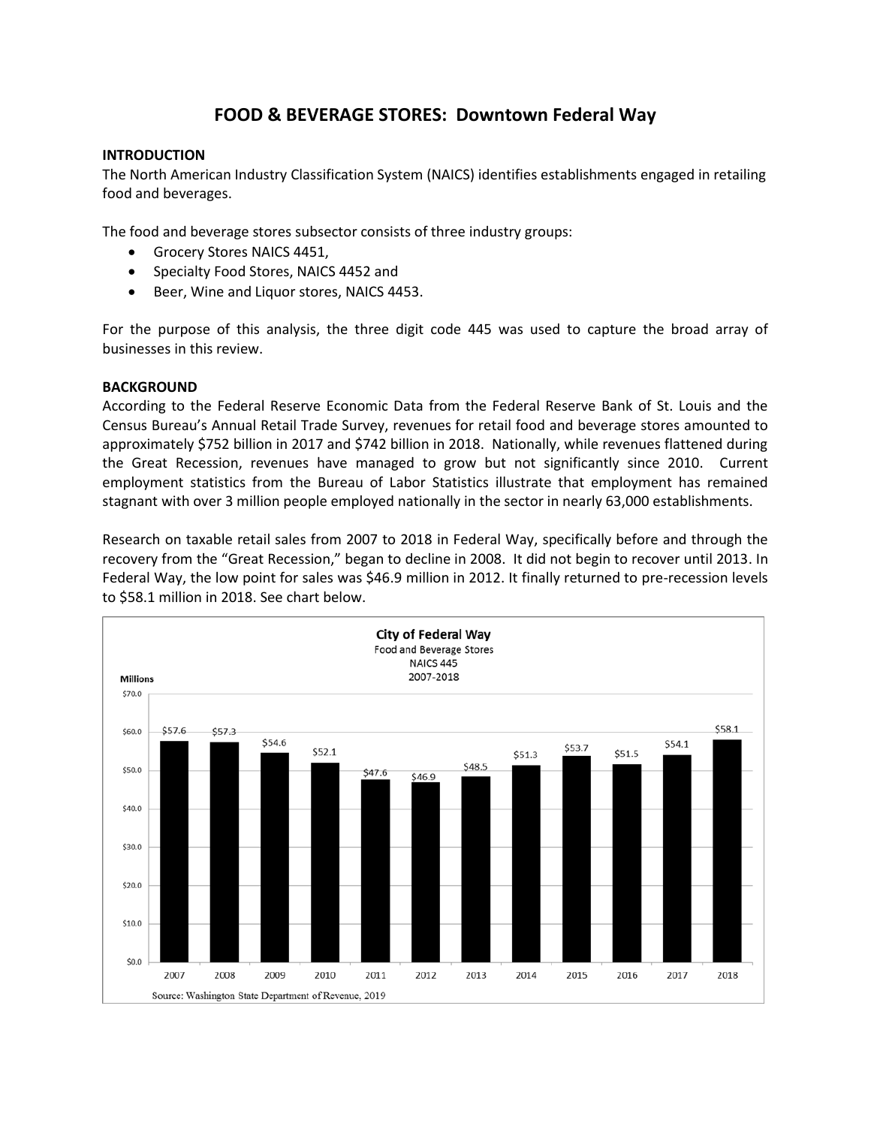# **FOOD & BEVERAGE STORES: Downtown Federal Way**

# **INTRODUCTION**

The North American Industry Classification System (NAICS) identifies establishments engaged in retailing food and beverages.

The food and beverage stores subsector consists of three industry groups:

- Grocery Stores NAICS 4451,
- Specialty Food Stores, NAICS 4452 and
- Beer, Wine and Liquor stores, NAICS 4453.

For the purpose of this analysis, the three digit code 445 was used to capture the broad array of businesses in this review.

# **BACKGROUND**

According to the Federal Reserve Economic Data from the Federal Reserve Bank of St. Louis and the Census Bureau's Annual Retail Trade Survey, revenues for retail food and beverage stores amounted to approximately \$752 billion in 2017 and \$742 billion in 2018. Nationally, while revenues flattened during the Great Recession, revenues have managed to grow but not significantly since 2010. Current employment statistics from the Bureau of Labor Statistics illustrate that employment has remained stagnant with over 3 million people employed nationally in the sector in nearly 63,000 establishments.

Research on taxable retail sales from 2007 to 2018 in Federal Way, specifically before and through the recovery from the "Great Recession," began to decline in 2008. It did not begin to recover until 2013. In Federal Way, the low point for sales was \$46.9 million in 2012. It finally returned to pre-recession levels to \$58.1 million in 2018. See chart below.

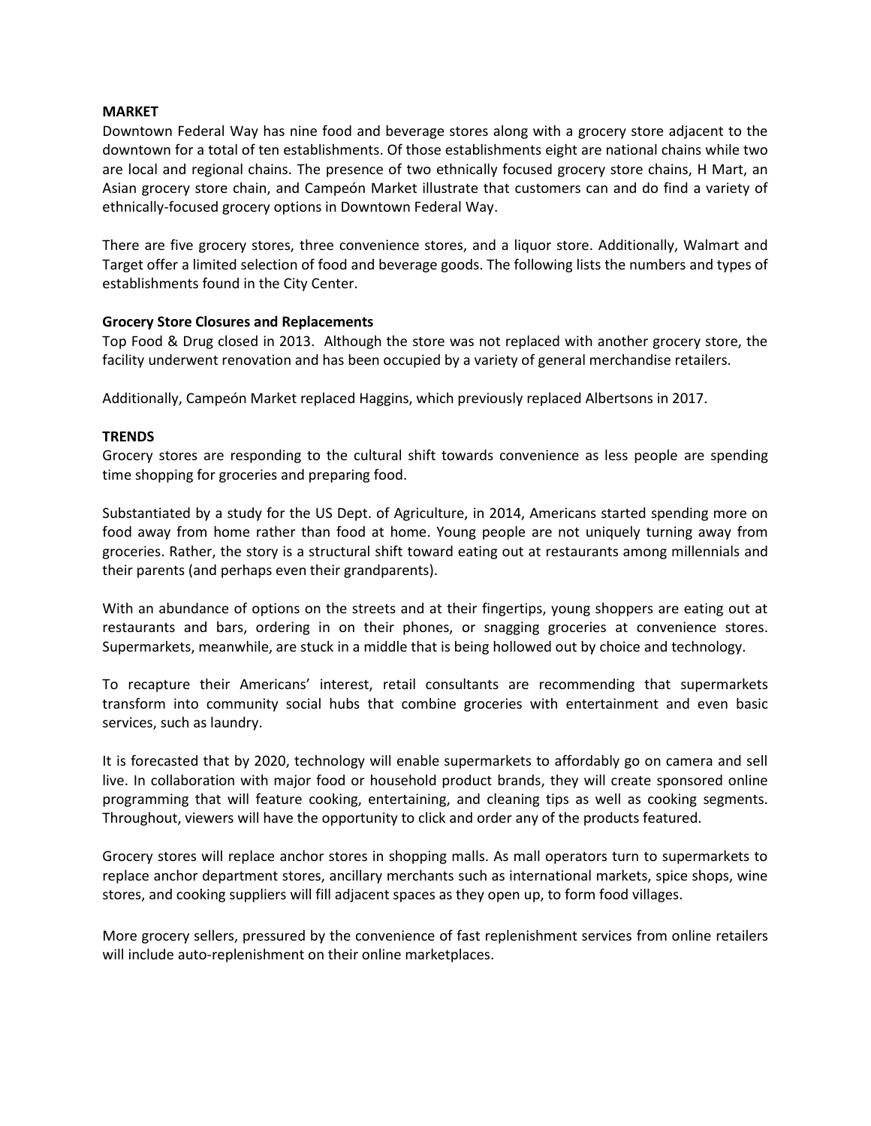## **MARKET**

Downtown Federal Way has nine food and beverage stores along with a grocery store adjacent to the downtown for a total of ten establishments. Of those establishments eight are national chains while two are local and regional chains. The presence of two ethnically focused grocery store chains, H Mart, an Asian grocery store chain, and Campeón Market illustrate that customers can and do find a variety of ethnically-focused grocery options in Downtown Federal Way.

There are five grocery stores, three convenience stores, and a liquor store. Additionally, Walmart and Target offer a limited selection of food and beverage goods. The following lists the numbers and types of establishments found in the City Center.

# **Grocery Store Closures and Replacements**

Top Food & Drug closed in 2013. Although the store was not replaced with another grocery store, the facility underwent renovation and has been occupied by a variety of general merchandise retailers.

Additionally, Campeón Market replaced Haggins, which previously replaced Albertsons in 2017.

# **TRENDS**

Grocery stores are responding to the cultural shift towards convenience as less people are spending time shopping for groceries and preparing food.

Substantiated by a study for the US Dept. of Agriculture, in 2014, Americans started spending more on food away from home rather than food at home. Young people are not uniquely turning away from groceries. Rather, the story is a structural shift toward eating out at restaurants among millennials and their parents (and perhaps even their grandparents).

With an abundance of options on the streets and at their fingertips, young shoppers are eating out at restaurants and bars, ordering in on their phones, or snagging groceries at convenience stores. Supermarkets, meanwhile, are stuck in a middle that is being hollowed out by choice and technology.

To recapture their Americans' interest, retail consultants are recommending that supermarkets transform into community social hubs that combine groceries with entertainment and even basic services, such as laundry.

It is forecasted that by 2020, technology will enable supermarkets to affordably go on camera and sell live. In collaboration with major food or household product brands, they will create sponsored online programming that will feature cooking, entertaining, and cleaning tips as well as cooking segments. Throughout, viewers will have the opportunity to click and order any of the products featured.

Grocery stores will replace anchor stores in shopping malls. As mall operators turn to supermarkets to replace anchor department stores, ancillary merchants such as international markets, spice shops, wine stores, and cooking suppliers will fill adjacent spaces as they open up, to form food villages.

More grocery sellers, pressured by the convenience of fast replenishment services from online retailers will include auto-replenishment on their online marketplaces.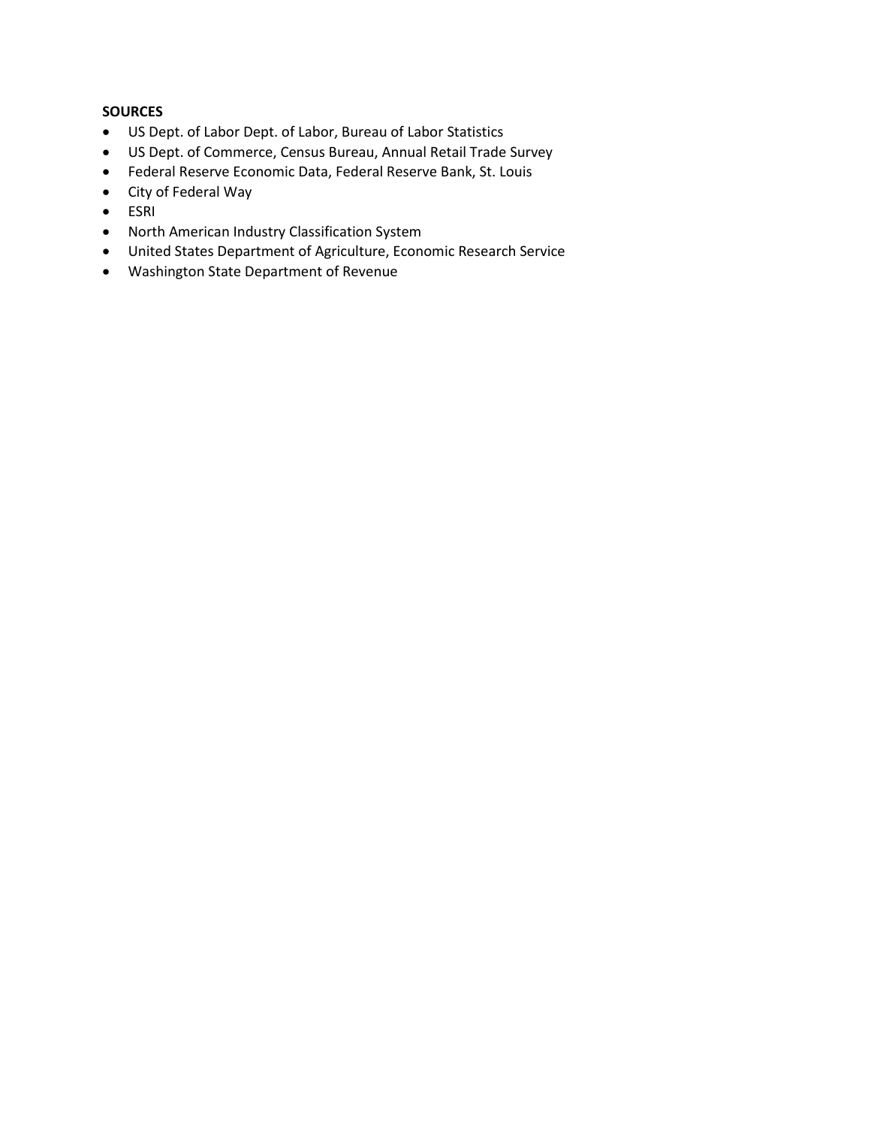# **SOURCES**

- US Dept. of Labor Dept. of Labor, Bureau of Labor Statistics
- US Dept. of Commerce, Census Bureau, Annual Retail Trade Survey
- Federal Reserve Economic Data, Federal Reserve Bank, St. Louis
- City of Federal Way
- ESRI
- North American Industry Classification System
- United States Department of Agriculture, Economic Research Service
- Washington State Department of Revenue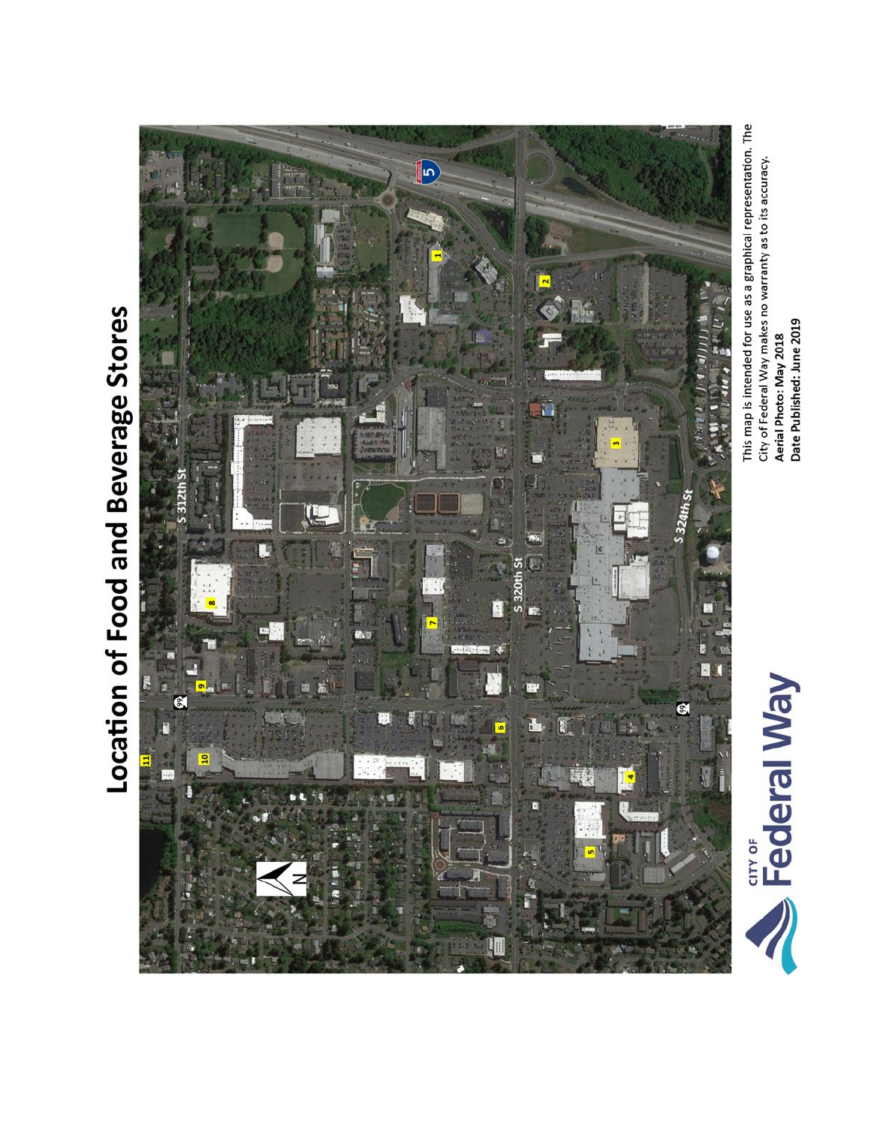# Location of Food and Beverage Stores



This map is intended for use as a graphical representation. The City of Federal Way makes no warranty as to its accuracy. Date Published: June 2019 Aerial Photo: May 2018